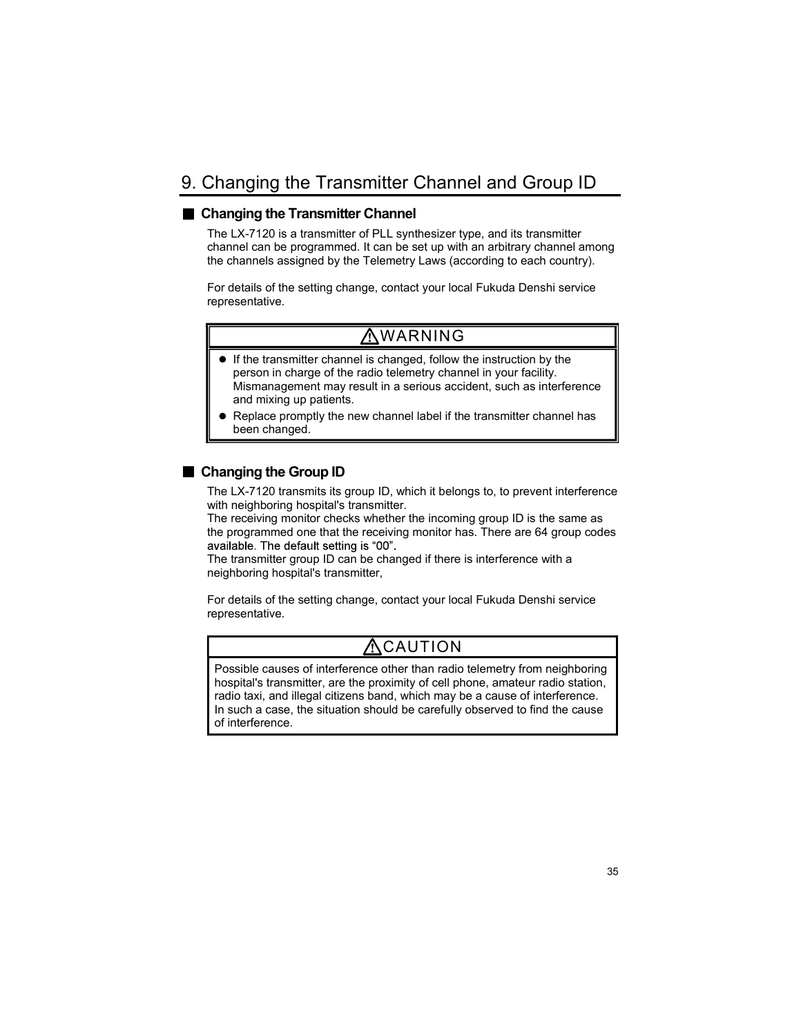# 9. Changing the Transmitter Channel and Group ID

#### ■ Changing the Transmitter Channel

The LX-7120 is a transmitter of PLL synthesizer type, and its transmitter channel can be programmed. It can be set up with an arbitrary channel among the channels assigned by the Telemetry Laws (according to each country).

For details of the setting change, contact your local Fukuda Denshi service representative.

### WARNING

- $\bullet$  If the transmitter channel is changed, follow the instruction by the person in charge of the radio telemetry channel in your facility. Mismanagement may result in a serious accident, such as interference and mixing up patients.
- Replace promptly the new channel label if the transmitter channel has been changed.

#### ■ Changing the Group ID

The LX-7120 transmits its group ID, which it belongs to, to prevent interference with neighboring hospital's transmitter.

The receiving monitor checks whether the incoming group ID is the same as the programmed one that the receiving monitor has. There are 64 group codes available. The default setting is "00".

The transmitter group ID can be changed if there is interference with a neighboring hospital's transmitter,

For details of the setting change, contact your local Fukuda Denshi service representative.

# $\triangle$ CAUTION

Possible causes of interference other than radio telemetry from neighboring hospital's transmitter, are the proximity of cell phone, amateur radio station, radio taxi, and illegal citizens band, which may be a cause of interference. In such a case, the situation should be carefully observed to find the cause of interference.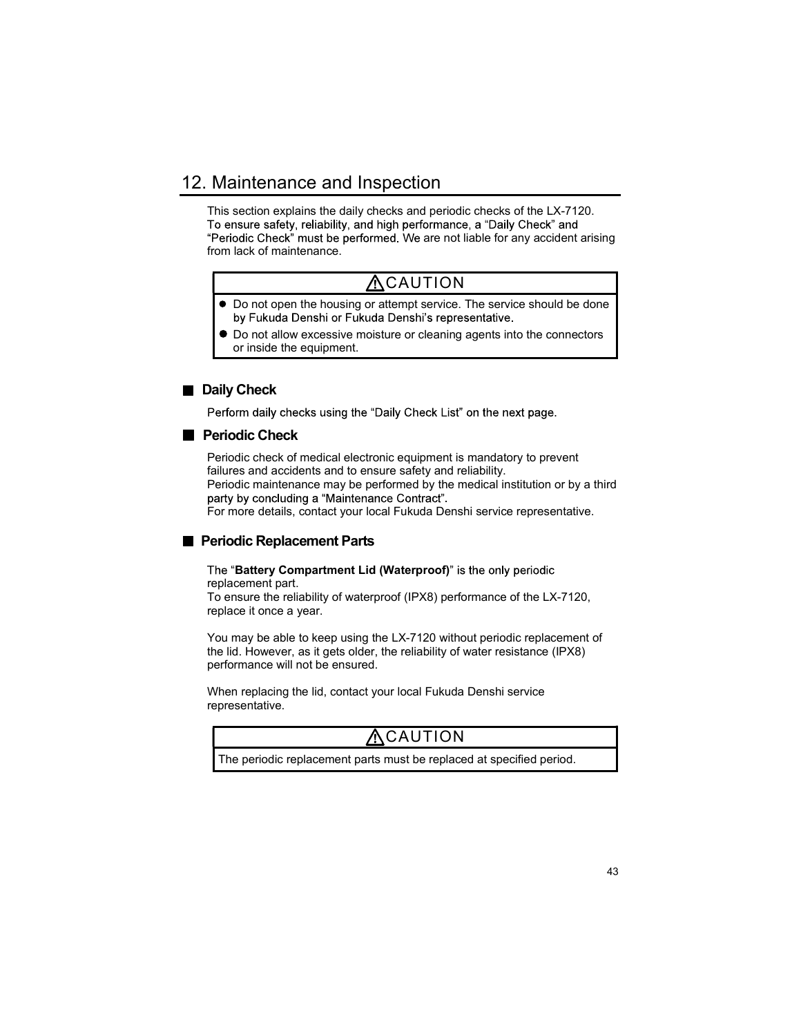### 12. Maintenance and Inspection

This section explains the daily checks and periodic checks of the LX-7120. To ensure safety, reliability, and high performance, a "Daily Check" and "Periodic Check" must be performed. We are not liable for any accident arising from lack of maintenance.

# **ACAUTION**

- $\bullet$  Do not open the housing or attempt service. The service should be done by Fukuda Denshi or Fukuda Denshi's representative.
- $\bullet$  Do not allow excessive moisture or cleaning agents into the connectors or inside the equipment.

#### Daily Check

Perform daily checks using the "Daily Check List" on the next page.

#### **Periodic Check**

Periodic check of medical electronic equipment is mandatory to prevent failures and accidents and to ensure safety and reliability.

Periodic maintenance may be performed by the medical institution or by a third

For more details, contact your local Fukuda Denshi service representative.

#### **Periodic Replacement Parts**

The "Battery Compartment Lid (Waterproof)" is the only periodic replacement part.

To ensure the reliability of waterproof (IPX8) performance of the LX-7120, replace it once a year.

You may be able to keep using the LX-7120 without periodic replacement of the lid. However, as it gets older, the reliability of water resistance (IPX8) performance will not be ensured.

When replacing the lid, contact your local Fukuda Denshi service representative.

### **ACAUTION**

The periodic replacement parts must be replaced at specified period.